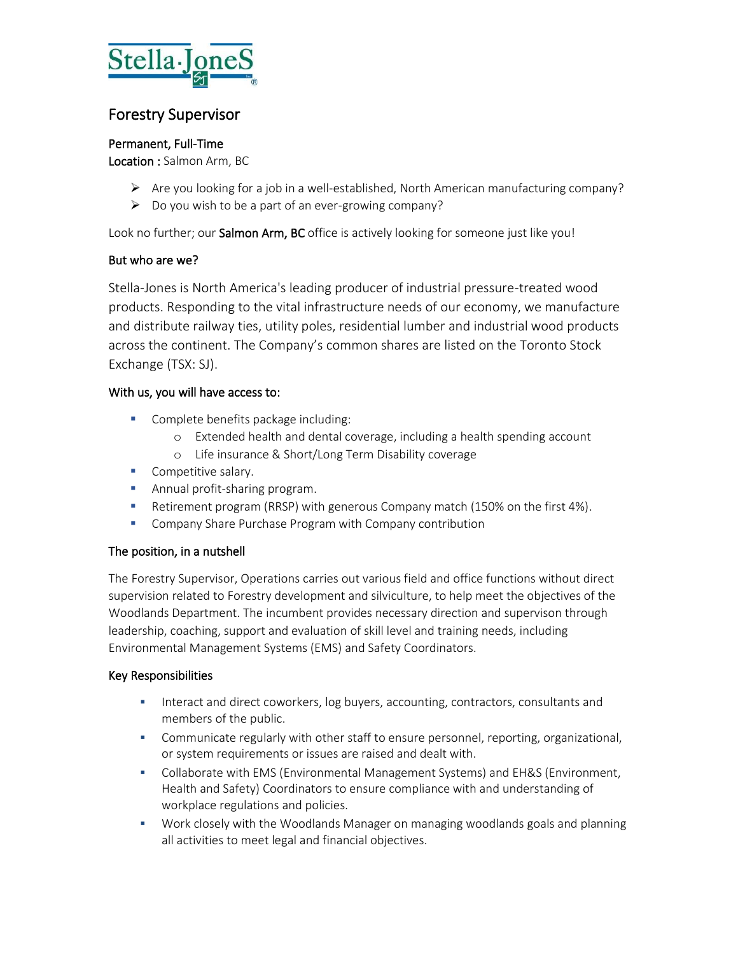

# Forestry Supervisor

## Permanent, Full-Time

Location : Salmon Arm, BC

- $\triangleright$  Are you looking for a job in a well-established, North American manufacturing company?
- ➢ Do you wish to be a part of an ever-growing company?

Look no further; our Salmon Arm, BC office is actively looking for someone just like you!

# But who are we?

Stella-Jones is North America's leading producer of industrial pressure-treated wood products. Responding to the vital infrastructure needs of our economy, we manufacture and distribute railway ties, utility poles, residential lumber and industrial wood products across the continent. The Company's common shares are listed on the Toronto Stock Exchange (TSX: SJ).

# With us, you will have access to:

- Complete benefits package including:
	- o Extended health and dental coverage, including a health spending account
	- o Life insurance & Short/Long Term Disability coverage
- **•** Competitive salary.
- **E** Annual profit-sharing program.
- **E** Retirement program (RRSP) with generous Company match (150% on the first 4%).
- Company Share Purchase Program with Company contribution

# The position, in a nutshell

The Forestry Supervisor, Operations carries out various field and office functions without direct supervision related to Forestry development and silviculture, to help meet the objectives of the Woodlands Department. The incumbent provides necessary direction and supervison through leadership, coaching, support and evaluation of skill level and training needs, including Environmental Management Systems (EMS) and Safety Coordinators.

### Key Responsibilities

- **■** Interact and direct coworkers, log buyers, accounting, contractors, consultants and members of the public.
- Communicate regularly with other staff to ensure personnel, reporting, organizational, or system requirements or issues are raised and dealt with.
- **•** Collaborate with EMS (Environmental Management Systems) and EH&S (Environment, Health and Safety) Coordinators to ensure compliance with and understanding of workplace regulations and policies.
- Work closely with the Woodlands Manager on managing woodlands goals and planning all activities to meet legal and financial objectives.